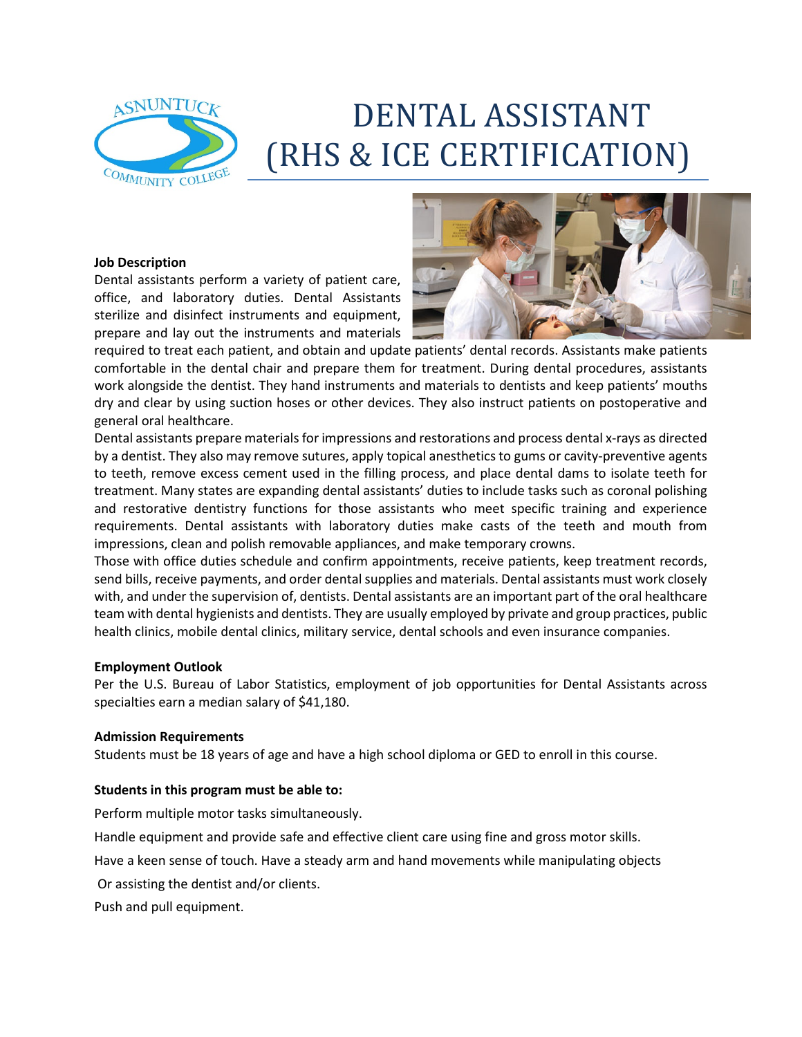

# DENTAL ASSISTANT (RHS & ICE CERTIFICATION)

#### **Job Description**

Dental assistants perform a variety of patient care, office, and laboratory duties. Dental Assistants sterilize and disinfect instruments and equipment, prepare and lay out the instruments and materials



required to treat each patient, and obtain and update patients' dental records. Assistants make patients comfortable in the dental chair and prepare them for treatment. During dental procedures, assistants work alongside the dentist. They hand instruments and materials to dentists and keep patients' mouths dry and clear by using suction hoses or other devices. They also instruct patients on postoperative and general oral healthcare.

Dental assistants prepare materials for impressions and restorations and process dental x-rays as directed by a dentist. They also may remove sutures, apply topical anesthetics to gums or cavity-preventive agents to teeth, remove excess cement used in the filling process, and place dental dams to isolate teeth for treatment. Many states are expanding dental assistants' duties to include tasks such as coronal polishing and restorative dentistry functions for those assistants who meet specific training and experience requirements. Dental assistants with laboratory duties make casts of the teeth and mouth from impressions, clean and polish removable appliances, and make temporary crowns.

Those with office duties schedule and confirm appointments, receive patients, keep treatment records, send bills, receive payments, and order dental supplies and materials. Dental assistants must work closely with, and under the supervision of, dentists. Dental assistants are an important part of the oral healthcare team with dental hygienists and dentists. They are usually employed by private and group practices, public health clinics, mobile dental clinics, military service, dental schools and even insurance companies.

#### **Employment Outlook**

Per the U.S. Bureau of Labor Statistics, employment of job opportunities for Dental Assistants across specialties earn a median salary of \$41,180.

#### **Admission Requirements**

Students must be 18 years of age and have a high school diploma or GED to enroll in this course.

### **Students in this program must be able to:**

Perform multiple motor tasks simultaneously.

Handle equipment and provide safe and effective client care using fine and gross motor skills.

Have a keen sense of touch. Have a steady arm and hand movements while manipulating objects

Or assisting the dentist and/or clients.

Push and pull equipment.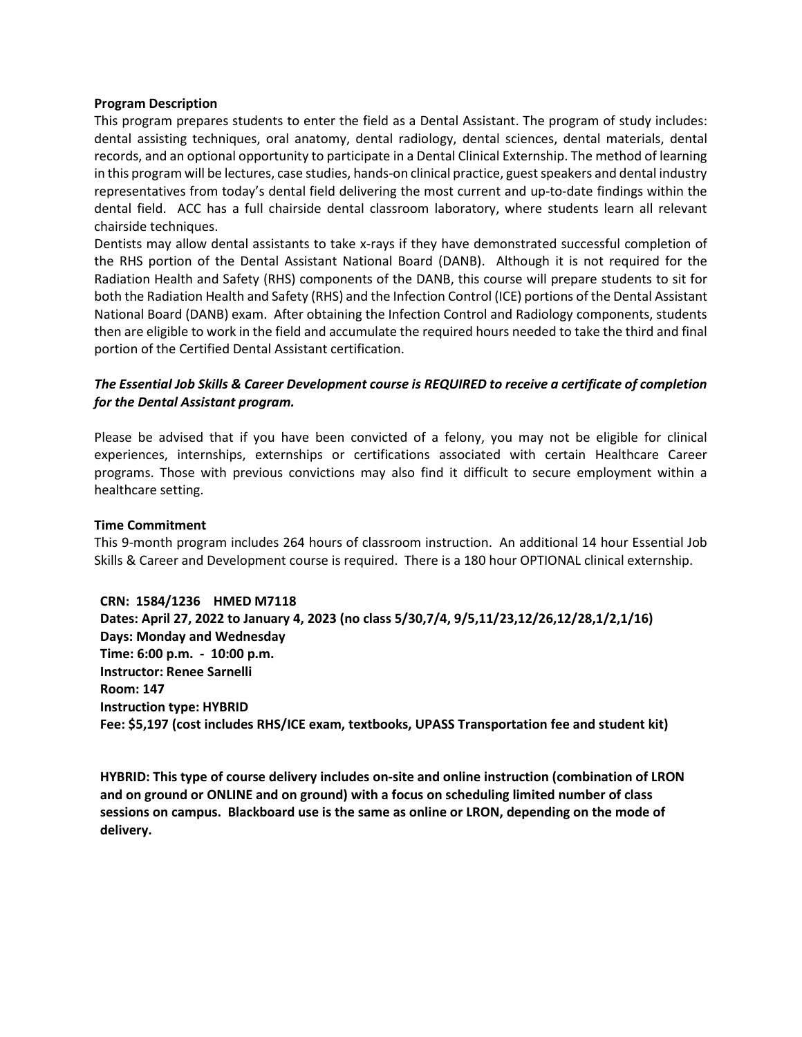#### **Program Description**

This program prepares students to enter the field as a Dental Assistant. The program of study includes: dental assisting techniques, oral anatomy, dental radiology, dental sciences, dental materials, dental records, and an optional opportunity to participate in a Dental Clinical Externship. The method of learning in this program will be lectures, case studies, hands-on clinical practice, guest speakers and dental industry representatives from today's dental field delivering the most current and up-to-date findings within the dental field. ACC has a full chairside dental classroom laboratory, where students learn all relevant chairside techniques.

Dentists may allow dental assistants to take x-rays if they have demonstrated successful completion of the RHS portion of the Dental Assistant National Board (DANB). Although it is not required for the Radiation Health and Safety (RHS) components of the DANB, this course will prepare students to sit for both the Radiation Health and Safety (RHS) and the Infection Control (ICE) portions of the Dental Assistant National Board (DANB) exam. After obtaining the Infection Control and Radiology components, students then are eligible to work in the field and accumulate the required hours needed to take the third and final portion of the Certified Dental Assistant certification.

## *The Essential Job Skills & Career Development course is REQUIRED to receive a certificate of completion for the Dental Assistant program.*

Please be advised that if you have been convicted of a felony, you may not be eligible for clinical experiences, internships, externships or certifications associated with certain Healthcare Career programs. Those with previous convictions may also find it difficult to secure employment within a healthcare setting.

#### **Time Commitment**

This 9-month program includes 264 hours of classroom instruction. An additional 14 hour Essential Job Skills & Career and Development course is required. There is a 180 hour OPTIONAL clinical externship.

**CRN: 1584/1236 HMED M7118** 

**Dates: April 27, 2022 to January 4, 2023 (no class 5/30,7/4, 9/5,11/23,12/26,12/28,1/2,1/16) Days: Monday and Wednesday Time: 6:00 p.m. - 10:00 p.m. Instructor: Renee Sarnelli Room: 147 Instruction type: HYBRID Fee: \$5,197 (cost includes RHS/ICE exam, textbooks, UPASS Transportation fee and student kit)**

**HYBRID: This type of course delivery includes on-site and online instruction (combination of LRON and on ground or ONLINE and on ground) with a focus on scheduling limited number of class sessions on campus. Blackboard use is the same as online or LRON, depending on the mode of delivery.**